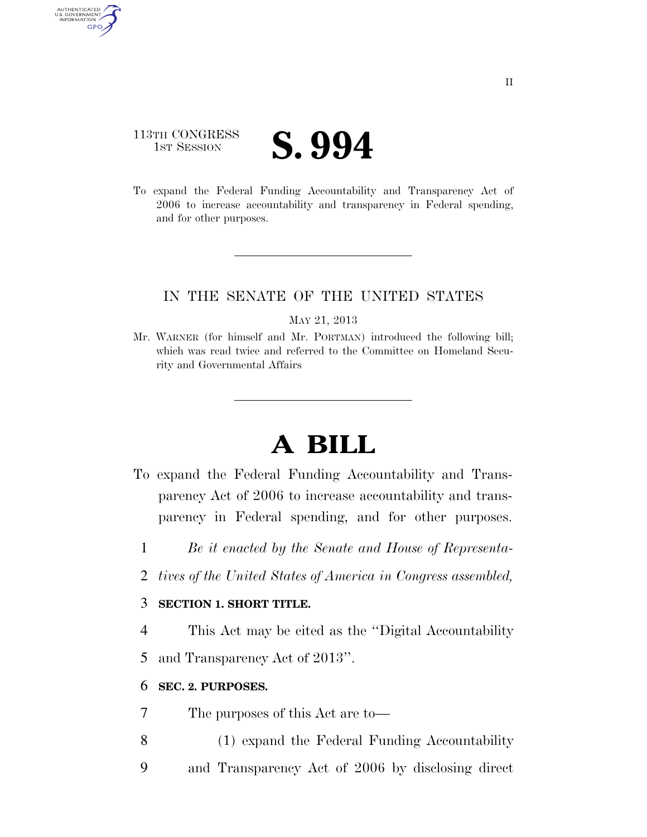# 113TH CONGRESS **1ST SESSION S. 994**

AUTHENTICATED<br>U.S. GOVERNMENT<br>INFORMATION **GPO** 

> To expand the Federal Funding Accountability and Transparency Act of 2006 to increase accountability and transparency in Federal spending, and for other purposes.

### IN THE SENATE OF THE UNITED STATES

#### MAY 21, 2013

Mr. WARNER (for himself and Mr. PORTMAN) introduced the following bill; which was read twice and referred to the Committee on Homeland Security and Governmental Affairs

# **A BILL**

- To expand the Federal Funding Accountability and Transparency Act of 2006 to increase accountability and transparency in Federal spending, and for other purposes.
	- 1 *Be it enacted by the Senate and House of Representa-*
	- 2 *tives of the United States of America in Congress assembled,*

### 3 **SECTION 1. SHORT TITLE.**

4 This Act may be cited as the ''Digital Accountability 5 and Transparency Act of 2013''.

### 6 **SEC. 2. PURPOSES.**

7 The purposes of this Act are to—

- 8 (1) expand the Federal Funding Accountability
- 9 and Transparency Act of 2006 by disclosing direct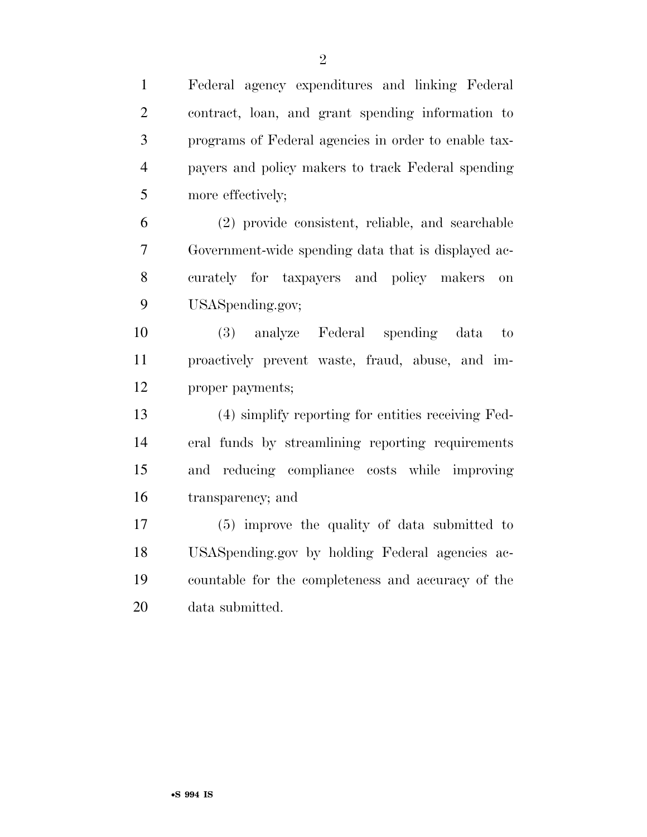Federal agency expenditures and linking Federal contract, loan, and grant spending information to programs of Federal agencies in order to enable tax- payers and policy makers to track Federal spending more effectively;

 (2) provide consistent, reliable, and searchable Government-wide spending data that is displayed ac- curately for taxpayers and policy makers on USASpending.gov;

 (3) analyze Federal spending data to proactively prevent waste, fraud, abuse, and im-proper payments;

 (4) simplify reporting for entities receiving Fed- eral funds by streamlining reporting requirements and reducing compliance costs while improving transparency; and

 (5) improve the quality of data submitted to USASpending.gov by holding Federal agencies ac- countable for the completeness and accuracy of the data submitted.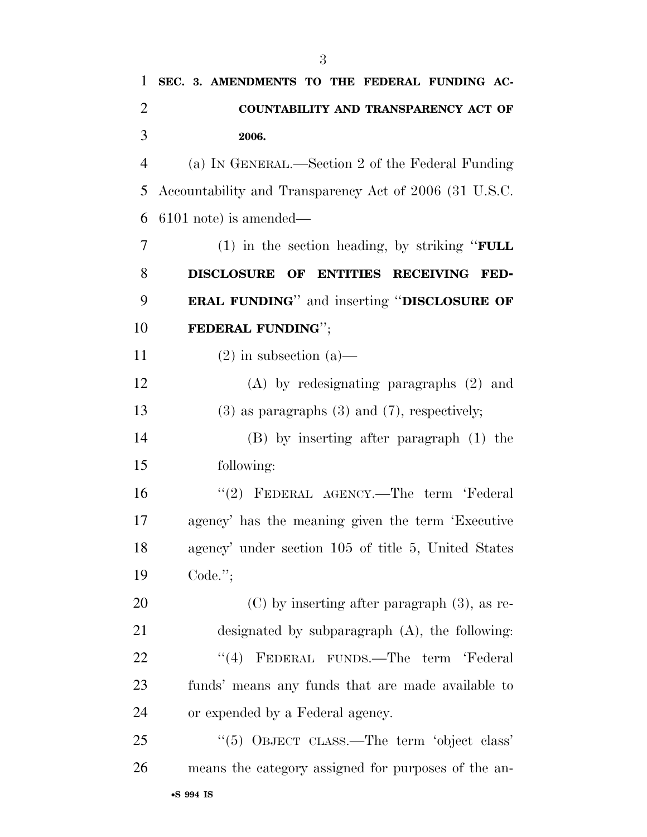| 1              | SEC. 3. AMENDMENTS TO THE FEDERAL FUNDING AC-          |
|----------------|--------------------------------------------------------|
| $\overline{2}$ | COUNTABILITY AND TRANSPARENCY ACT OF                   |
| 3              | 2006.                                                  |
| $\overline{4}$ | (a) IN GENERAL.—Section 2 of the Federal Funding       |
| 5              | Accountability and Transparency Act of 2006 (31 U.S.C. |
| 6              | $6101$ note) is amended—                               |
| 7              | $(1)$ in the section heading, by striking "FULL        |
| 8              | DISCLOSURE OF ENTITIES RECEIVING FED-                  |
| 9              | <b>ERAL FUNDING</b> " and inserting "DISCLOSURE OF     |
| 10             | FEDERAL FUNDING";                                      |
| 11             | $(2)$ in subsection $(a)$ —                            |
| 12             | $(A)$ by redesignating paragraphs $(2)$ and            |
| 13             | $(3)$ as paragraphs $(3)$ and $(7)$ , respectively;    |
| 14             | $(B)$ by inserting after paragraph $(1)$ the           |
| 15             | following:                                             |
| 16             | "(2) FEDERAL AGENCY.—The term 'Federal                 |
| 17             | agency' has the meaning given the term 'Executive      |
| 18             | agency' under section 105 of title 5, United States    |
| 19             | $Code.$ ";                                             |
| 20             | $(C)$ by inserting after paragraph $(3)$ , as re-      |
| 21             | designated by subparagraph $(A)$ , the following:      |
| 22             | FEDERAL FUNDS.—The term 'Federal<br>(4)                |
| 23             | funds' means any funds that are made available to      |
| 24             | or expended by a Federal agency.                       |
| 25             | "(5) OBJECT CLASS.—The term 'object class'             |
| 26             | means the category assigned for purposes of the an-    |
|                |                                                        |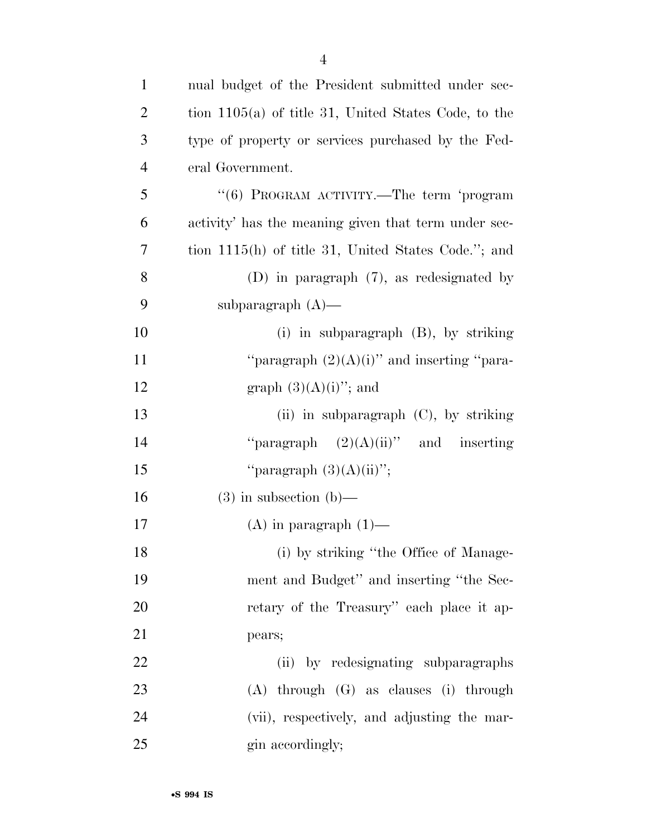| $\mathbf{1}$   | nual budget of the President submitted under sec-      |
|----------------|--------------------------------------------------------|
| $\overline{2}$ | tion $1105(a)$ of title 31, United States Code, to the |
| 3              | type of property or services purchased by the Fed-     |
| $\overline{4}$ | eral Government.                                       |
| 5              | "(6) PROGRAM ACTIVITY.—The term 'program               |
| 6              | activity' has the meaning given that term under sec-   |
| 7              | tion $1115(h)$ of title 31, United States Code."; and  |
| 8              | (D) in paragraph $(7)$ , as redesignated by            |
| 9              | subparagraph $(A)$ —                                   |
| 10             | $(i)$ in subparagraph $(B)$ , by striking              |
| 11             | "paragraph $(2)(A)(i)$ " and inserting "para-          |
| 12             | graph $(3)(A)(i)$ "; and                               |
| 13             | (ii) in subparagraph $(C)$ , by striking               |
| 14             | "paragraph $(2)(A)(ii)$ " and inserting                |
| 15             | "paragraph $(3)(A)(ii)$ ";                             |
| 16             | $(3)$ in subsection $(b)$ —                            |
| 17             | $(A)$ in paragraph $(1)$ —                             |
| 18             | (i) by striking "the Office of Manage-                 |
| 19             | ment and Budget" and inserting "the Sec-               |
| 20             | retary of the Treasury" each place it ap-              |
| 21             | pears;                                                 |
| 22             | (ii) by redesignating subparagraphs                    |
| 23             | $(A)$ through $(G)$ as clauses $(i)$ through           |
| 24             | (vii), respectively, and adjusting the mar-            |
| 25             | gin accordingly;                                       |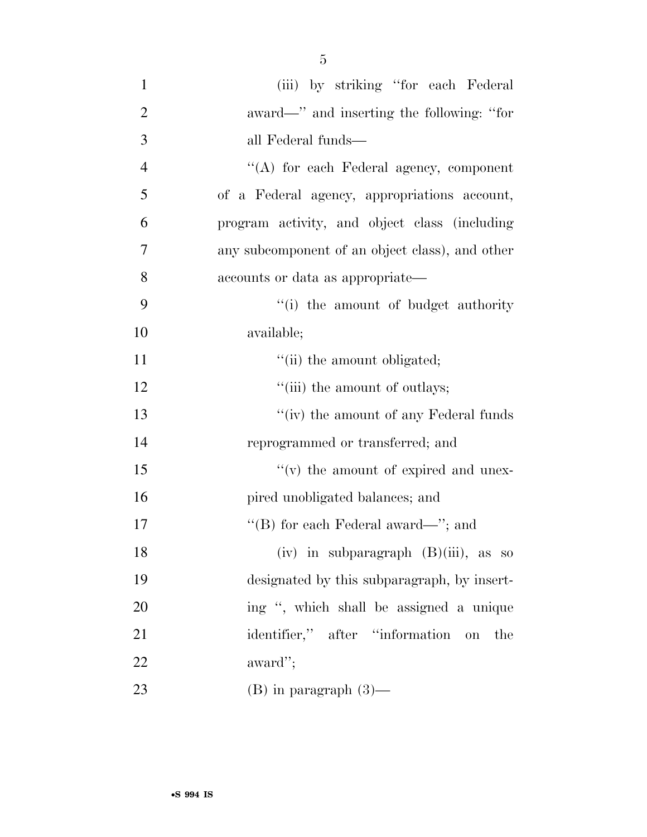| $\mathbf{1}$   | (iii) by striking "for each Federal             |
|----------------|-------------------------------------------------|
| $\overline{2}$ | award—" and inserting the following: "for       |
| 3              | all Federal funds—                              |
| $\overline{4}$ | "(A) for each Federal agency, component         |
| 5              | of a Federal agency, appropriations account,    |
| 6              | program activity, and object class (including   |
| 7              | any subcomponent of an object class), and other |
| 8              | accounts or data as appropriate—                |
| 9              | "(i) the amount of budget authority             |
| 10             | available;                                      |
| 11             | "(ii) the amount obligated;                     |
| 12             | "(iii) the amount of outlays;                   |
| 13             | $``(iv)$ the amount of any Federal funds        |
| 14             | reprogrammed or transferred; and                |
| 15             | $f'(v)$ the amount of expired and unex-         |
| 16             | pired unobligated balances; and                 |
| 17             | "(B) for each Federal award—"; and              |
| 18             | $(iv)$ in subparagraph $(B)(iii)$ , as so       |
| 19             | designated by this subparagraph, by insert-     |
| 20             | ing ", which shall be assigned a unique         |
| 21             | identifier," after "information on<br>the       |
| 22             | award";                                         |
| 23             | $(B)$ in paragraph $(3)$ —                      |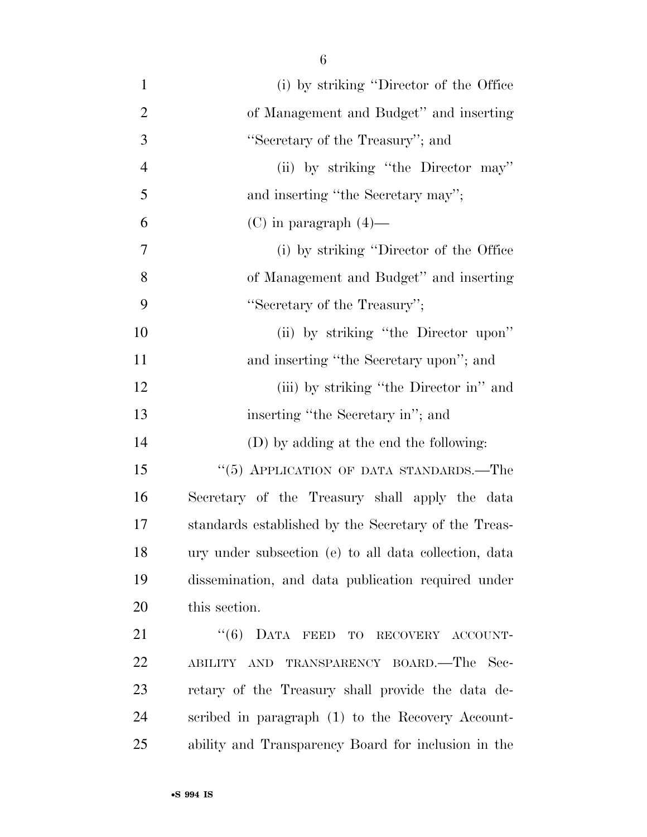| $\mathbf{1}$   | (i) by striking "Director of the Office"              |
|----------------|-------------------------------------------------------|
| $\overline{2}$ | of Management and Budget" and inserting               |
| 3              | "Secretary of the Treasury"; and                      |
| $\overline{4}$ | (ii) by striking "the Director may"                   |
| 5              | and inserting "the Secretary may";                    |
| 6              | $(C)$ in paragraph $(4)$ —                            |
| $\overline{7}$ | (i) by striking "Director of the Office               |
| 8              | of Management and Budget" and inserting               |
| 9              | "Secretary of the Treasury";                          |
| 10             | (ii) by striking "the Director upon"                  |
| 11             | and inserting "the Secretary upon"; and               |
| 12             | (iii) by striking "the Director in" and               |
| 13             | inserting "the Secretary in"; and                     |
| 14             | (D) by adding at the end the following:               |
| 15             | "(5) APPLICATION OF DATA STANDARDS.—The               |
| 16             | Secretary of the Treasury shall apply the data        |
| 17             | standards established by the Secretary of the Treas-  |
| 18             | ury under subsection (e) to all data collection, data |
| 19             | dissemination, and data publication required under    |
| 20             | this section.                                         |
| 21             | "(6) DATA FEED TO RECOVERY ACCOUNT-                   |
| 22             | TRANSPARENCY BOARD.—The<br>- Sec-<br>ABILITY AND      |
| 23             | retary of the Treasury shall provide the data de-     |
| 24             | scribed in paragraph (1) to the Recovery Account-     |
| 25             | ability and Transparency Board for inclusion in the   |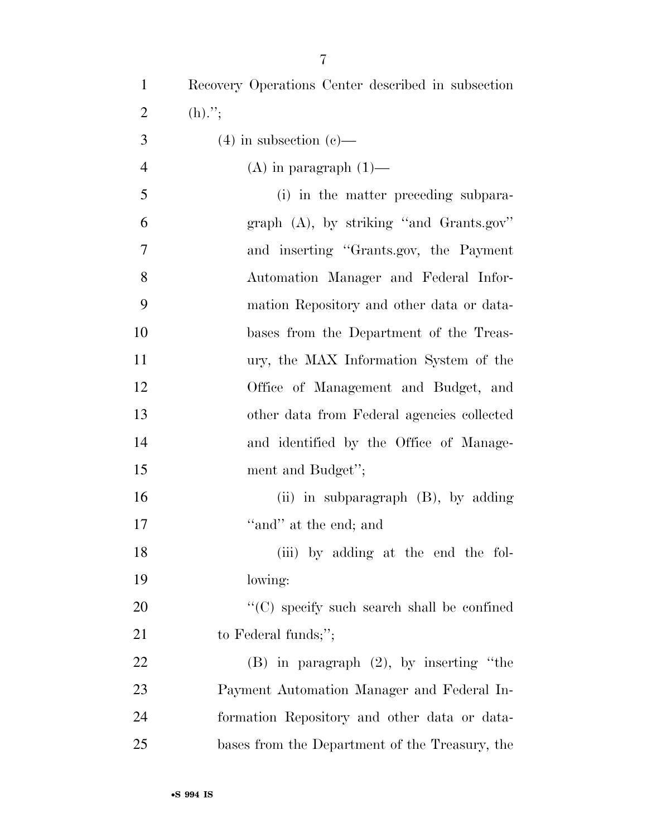| $\mathbf{1}$   | Recovery Operations Center described in subsection |
|----------------|----------------------------------------------------|
| $\overline{2}$ | $(h)$ .";                                          |
| 3              | $(4)$ in subsection $(e)$ —                        |
| $\overline{4}$ | $(A)$ in paragraph $(1)$ —                         |
| 5              | (i) in the matter preceding subpara-               |
| 6              | graph $(A)$ , by striking "and Grants.gov"         |
| $\overline{7}$ | and inserting "Grants.gov, the Payment             |
| 8              | Automation Manager and Federal Infor-              |
| 9              | mation Repository and other data or data-          |
| 10             | bases from the Department of the Treas-            |
| 11             | ury, the MAX Information System of the             |
| 12             | Office of Management and Budget, and               |
| 13             | other data from Federal agencies collected         |
| 14             | and identified by the Office of Manage-            |
| 15             | ment and Budget";                                  |
| 16             | (ii) in subparagraph $(B)$ , by adding             |
| 17             | "and" at the end; and                              |
| 18             | (iii) by adding at the end the fol-                |
| 19             | lowing:                                            |
| 20             | "(C) specify such search shall be confined         |
| 21             | to Federal funds;";                                |
| 22             | $(B)$ in paragraph $(2)$ , by inserting "the       |
| 23             | Payment Automation Manager and Federal In-         |
| 24             | formation Repository and other data or data-       |
| 25             | bases from the Department of the Treasury, the     |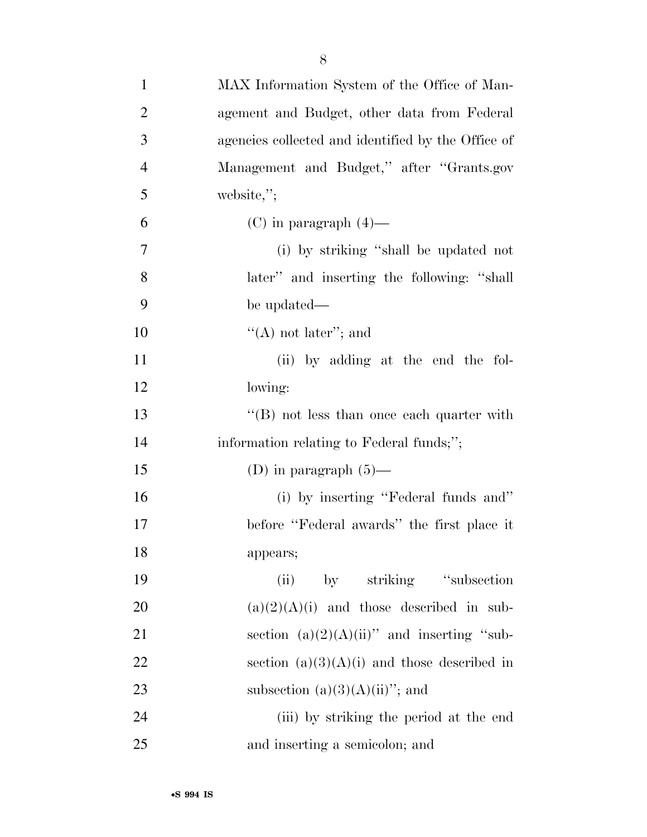| $\mathbf{1}$   | MAX Information System of the Office of Man-       |
|----------------|----------------------------------------------------|
| $\overline{2}$ | agement and Budget, other data from Federal        |
| 3              | agencies collected and identified by the Office of |
| $\overline{4}$ | Management and Budget," after "Grants.gov          |
| 5              | website,";                                         |
| 6              | $(C)$ in paragraph $(4)$ —                         |
| 7              | (i) by striking "shall be updated not              |
| 8              | later" and inserting the following: "shall         |
| 9              | be updated—                                        |
| 10             | "(A) not later"; and                               |
| 11             | (ii) by adding at the end the fol-                 |
| 12             | lowing:                                            |
| 13             | "(B) not less than once each quarter with          |
| 14             | information relating to Federal funds;";           |
| 15             | (D) in paragraph $(5)$ —                           |
| 16             | (i) by inserting "Federal funds and"               |
| 17             | before "Federal awards" the first place it         |
| 18             | appears;                                           |
| 19             | by striking "subsection"<br>(ii)                   |
| 20             | $(a)(2)(A)(i)$ and those described in sub-         |
| 21             | section $(a)(2)(A)(ii)$ " and inserting "sub-      |
| 22             | section $(a)(3)(A)(i)$ and those described in      |
| 23             | subsection $(a)(3)(A)(ii)$ "; and                  |
| 24             | (iii) by striking the period at the end            |
| 25             | and inserting a semicolon; and                     |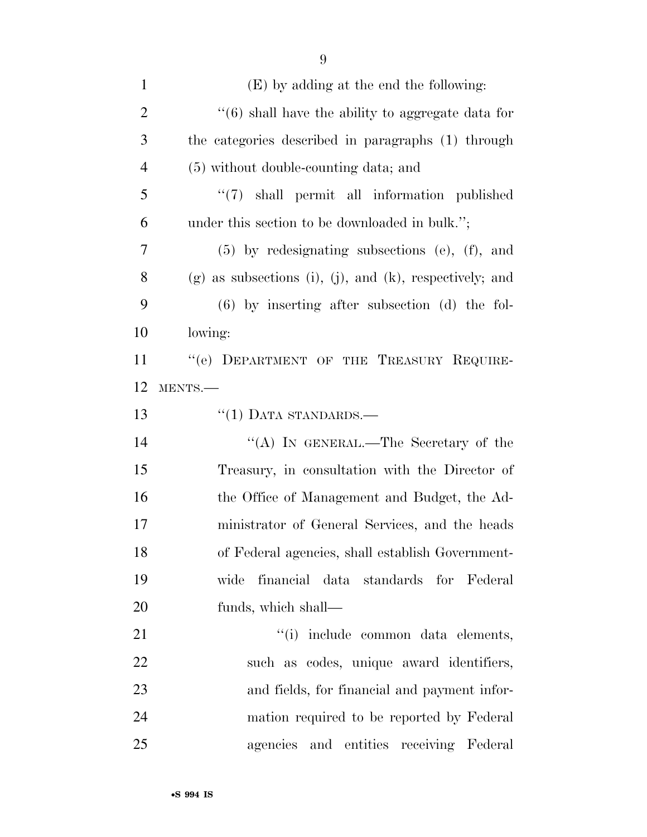| $\mathbf{1}$   | (E) by adding at the end the following:                   |
|----------------|-----------------------------------------------------------|
| $\overline{2}$ | $\cdot$ (6) shall have the ability to aggregate data for  |
| 3              | the categories described in paragraphs (1) through        |
| $\overline{4}$ | (5) without double-counting data; and                     |
| 5              | $\lq(7)$ shall permit all information published           |
| 6              | under this section to be downloaded in bulk.";            |
| $\tau$         | $(5)$ by redesignating subsections $(e)$ , $(f)$ , and    |
| 8              | $(g)$ as subsections (i), (j), and (k), respectively; and |
| 9              | $(6)$ by inserting after subsection $(d)$ the fol-        |
| 10             | lowing:                                                   |
| 11             | "(e) DEPARTMENT OF THE TREASURY REQUIRE-                  |
| 12             | MENTS.-                                                   |
| 13             | $``(1)$ DATA STANDARDS.—                                  |
| 14             | "(A) IN GENERAL.—The Secretary of the                     |
| 15             | Treasury, in consultation with the Director of            |
| 16             | the Office of Management and Budget, the Ad-              |
| $17\,$         | ministrator of General Services, and the heads            |
| 18             | of Federal agencies, shall establish Government-          |
| 19             | wide financial data standards for Federal                 |
| 20             | funds, which shall—                                       |
| 21             | "(i) include common data elements,                        |
| 22             | such as codes, unique award identifiers,                  |
| 23             | and fields, for financial and payment infor-              |
| 24             | mation required to be reported by Federal                 |
| 25             | agencies and entities receiving Federal                   |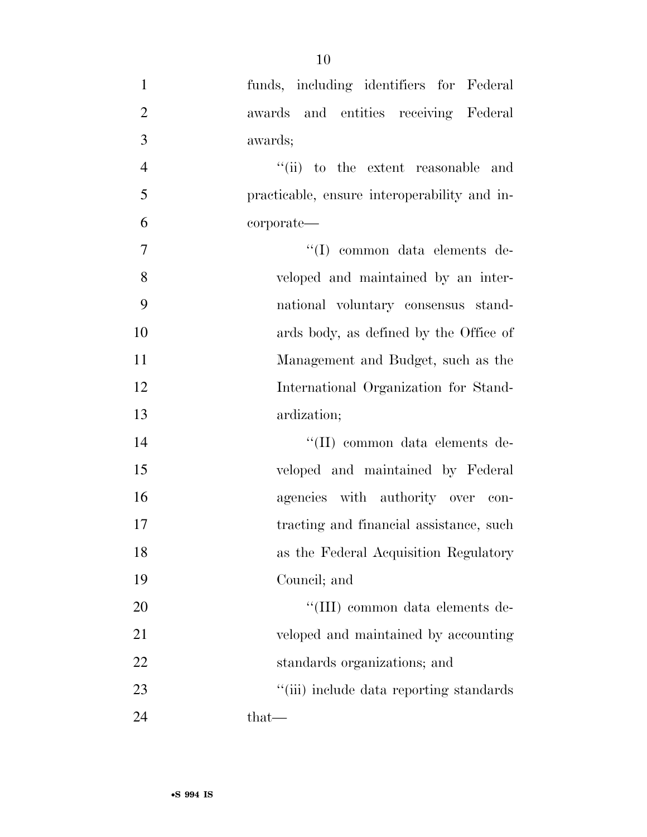| $\mathbf{1}$   | funds, including identifiers for Federal     |
|----------------|----------------------------------------------|
| $\overline{2}$ | awards and entities receiving Federal        |
| 3              | awards;                                      |
| $\overline{4}$ | "(ii) to the extent reasonable and           |
| 5              | practicable, ensure interoperability and in- |
| 6              | corporate—                                   |
| $\overline{7}$ | "(I) common data elements de-                |
| 8              | veloped and maintained by an inter-          |
| 9              | national voluntary consensus stand-          |
| 10             | ards body, as defined by the Office of       |
| 11             | Management and Budget, such as the           |
| 12             | International Organization for Stand-        |
| 13             | ardization;                                  |
| 14             | "(II) common data elements de-               |
| 15             | veloped and maintained by Federal            |
| 16             | agencies with authority over con-            |
| 17             | tracting and financial assistance, such      |
| 18             | as the Federal Acquisition Regulatory        |
| 19             | Council; and                                 |
| 20             | "(III) common data elements de-              |
| 21             | veloped and maintained by accounting         |
| 22             | standards organizations; and                 |
| 23             | "(iii) include data reporting standards      |
| 24             | that-                                        |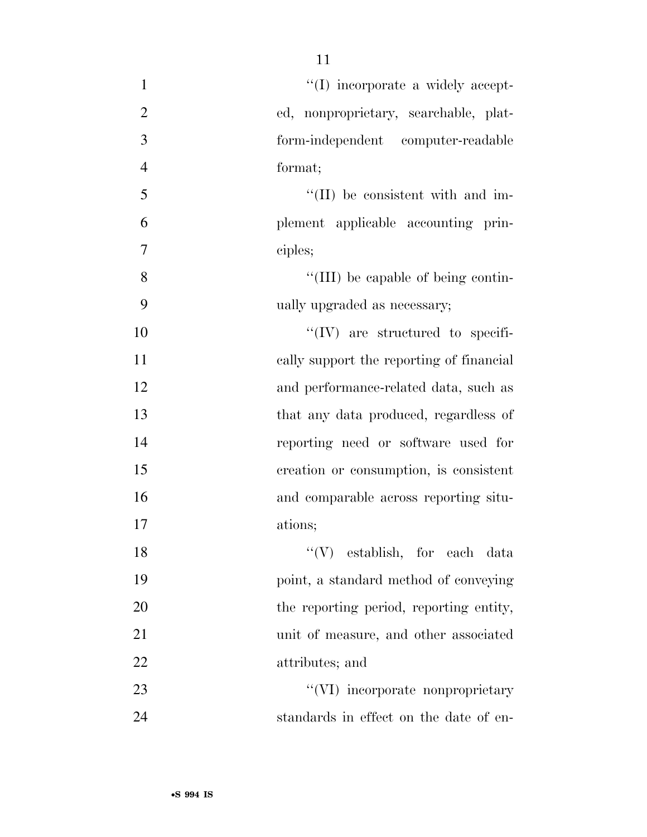| $\mathbf{1}$   | "(I) incorporate a widely accept-        |
|----------------|------------------------------------------|
| $\overline{2}$ | ed, nonproprietary, searchable, plat-    |
| 3              | form-independent computer-readable       |
| $\overline{4}$ | format;                                  |
| 5              | "(II) be consistent with and im-         |
| 6              | plement applicable accounting prin-      |
| 7              | ciples;                                  |
| 8              | "(III) be capable of being contin-       |
| 9              | ually upgraded as necessary;             |
| 10             | $\lq\lq$ (IV) are structured to specifi- |
| 11             | cally support the reporting of financial |
| 12             | and performance-related data, such as    |
| 13             | that any data produced, regardless of    |
| 14             | reporting need or software used for      |
| 15             | creation or consumption, is consistent   |
| 16             | and comparable across reporting situ-    |
| 17             | ations;                                  |
| 18             | "(V) establish, for each data            |
| 19             | point, a standard method of conveying    |
| 20             | the reporting period, reporting entity,  |
| 21             | unit of measure, and other associated    |
| 22             | attributes; and                          |
| 23             | "(VI) incorporate nonproprietary         |
| 24             | standards in effect on the date of en-   |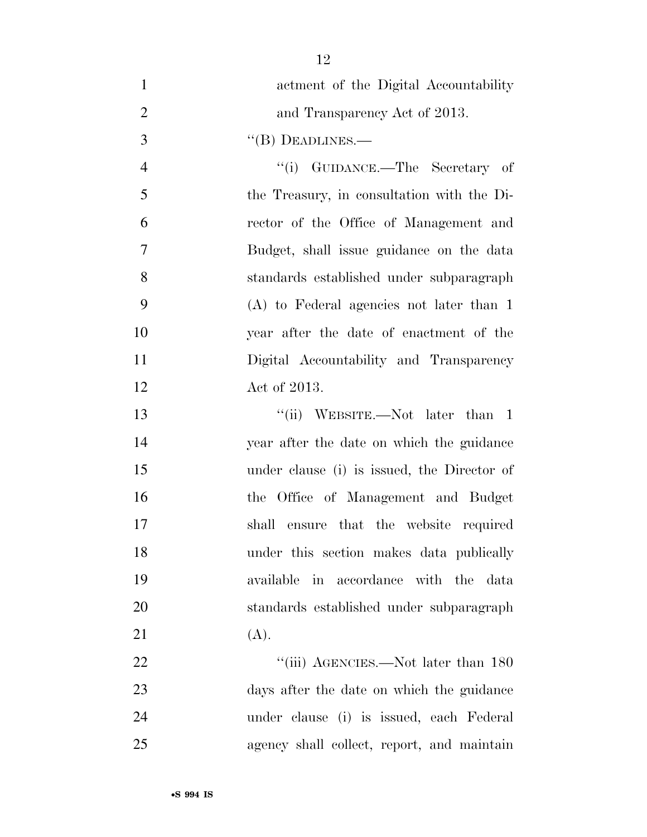actment of the Digital Accountability 2 and Transparency Act of 2013. 3 "(B) DEADLINES.— 4 ''(i) GUIDANCE.—The Secretary of the Treasury, in consultation with the Di- rector of the Office of Management and Budget, shall issue guidance on the data standards established under subparagraph (A) to Federal agencies not later than 1 year after the date of enactment of the Digital Accountability and Transparency Act of 2013. 13 ''(ii) WEBSITE.—Not later than 1 year after the date on which the guidance under clause (i) is issued, the Director of the Office of Management and Budget shall ensure that the website required under this section makes data publically available in accordance with the data standards established under subparagraph

21 (A).

22 "'(iii) AGENCIES.—Not later than 180 days after the date on which the guidance under clause (i) is issued, each Federal agency shall collect, report, and maintain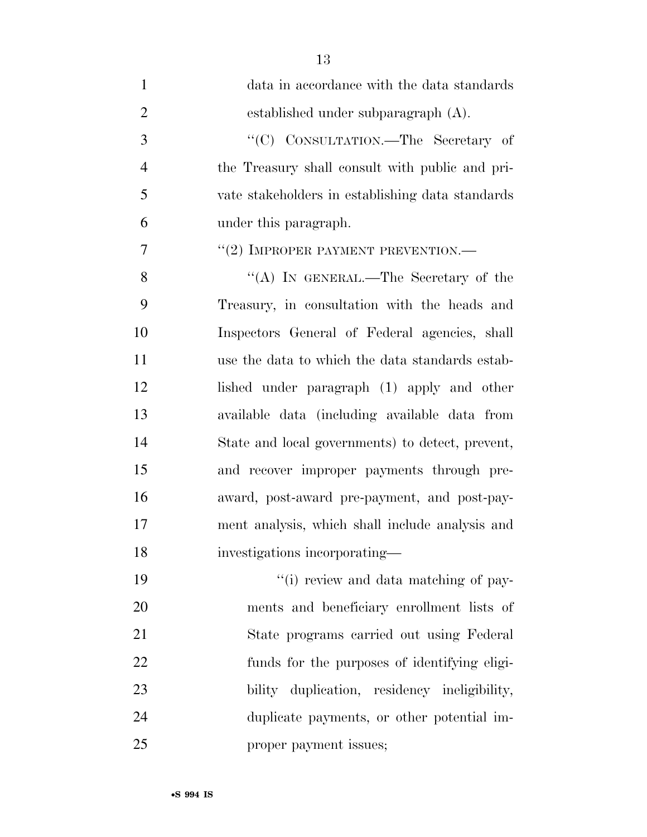| $\mathbf{1}$   | data in accordance with the data standards       |
|----------------|--------------------------------------------------|
| $\overline{2}$ | established under subparagraph (A).              |
| 3              | "(C) CONSULTATION.—The Secretary of              |
| $\overline{4}$ | the Treasury shall consult with public and pri-  |
| 5              | vate stakeholders in establishing data standards |
| 6              | under this paragraph.                            |
| 7              | "(2) IMPROPER PAYMENT PREVENTION.—               |
| 8              | "(A) IN GENERAL.—The Secretary of the            |
| 9              | Treasury, in consultation with the heads and     |
| 10             | Inspectors General of Federal agencies, shall    |
| 11             | use the data to which the data standards estab-  |
| 12             | lished under paragraph (1) apply and other       |
| 13             | available data (including available data from    |
| 14             | State and local governments) to detect, prevent, |
| 15             | and recover improper payments through pre-       |
| 16             | award, post-award pre-payment, and post-pay-     |
| 17             | ment analysis, which shall include analysis and  |
| 18             | investigations incorporating-                    |
| 19             | "(i) review and data matching of pay-            |
| 20             | ments and beneficiary enrollment lists of        |
| 21             | State programs carried out using Federal         |
| 22             | funds for the purposes of identifying eligi-     |
| 23             | bility duplication, residency ineligibility,     |
| 24             | duplicate payments, or other potential im-       |
| 25             | proper payment issues;                           |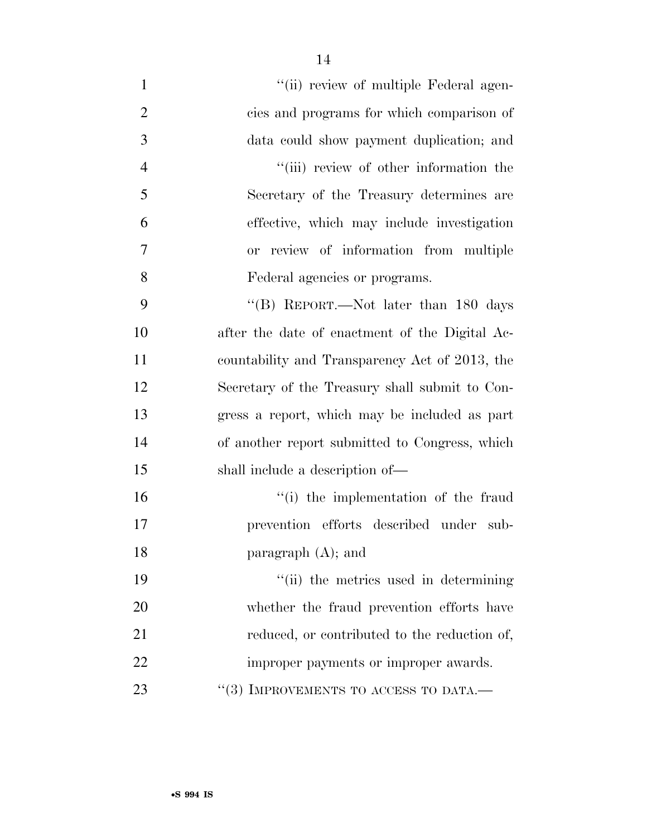| $\mathbf{1}$   | "(ii) review of multiple Federal agen-         |
|----------------|------------------------------------------------|
| $\overline{2}$ | cies and programs for which comparison of      |
| 3              | data could show payment duplication; and       |
| $\overline{4}$ | "(iii) review of other information the         |
| 5              | Secretary of the Treasury determines are       |
| 6              | effective, which may include investigation     |
| 7              | or review of information from multiple         |
| 8              | Federal agencies or programs.                  |
| 9              | "(B) REPORT.—Not later than $180$ days         |
| 10             | after the date of enactment of the Digital Ac- |
| 11             | countability and Transparency Act of 2013, the |
| 12             | Secretary of the Treasury shall submit to Con- |
| 13             | gress a report, which may be included as part  |
| 14             | of another report submitted to Congress, which |
| 15             | shall include a description of—                |
| 16             | "(i) the implementation of the fraud           |
| 17             | prevention efforts described under sub-        |
| 18             | paragraph $(A)$ ; and                          |
| 19             | "(ii) the metrics used in determining          |
| 20             | whether the fraud prevention efforts have      |
| 21             | reduced, or contributed to the reduction of,   |
| 22             | improper payments or improper awards.          |
| 23             | $``(3)$ IMPROVEMENTS TO ACCESS TO DATA.—       |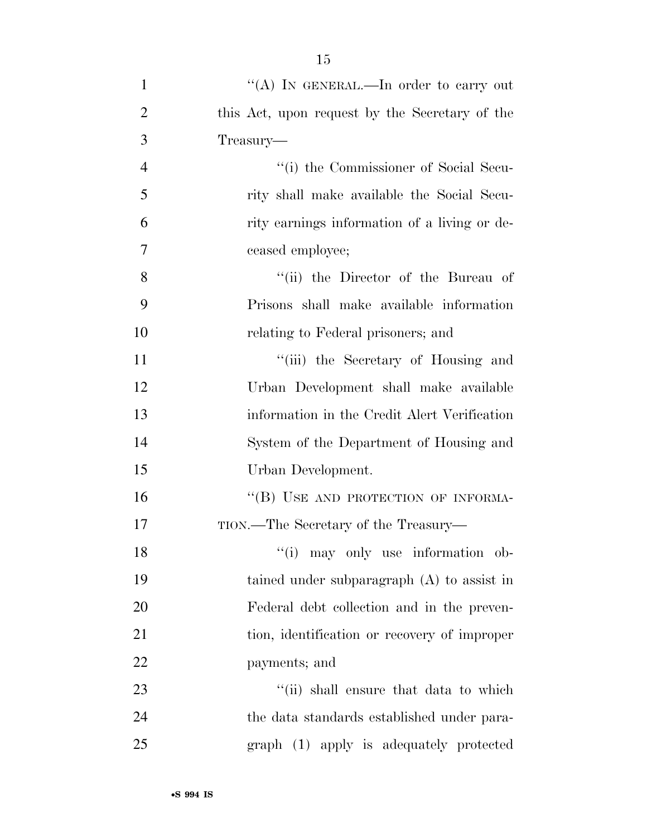| $\mathbf{1}$   | "(A) IN GENERAL.—In order to carry out         |
|----------------|------------------------------------------------|
| $\overline{2}$ | this Act, upon request by the Secretary of the |
| 3              | Treasury-                                      |
| $\overline{4}$ | "(i) the Commissioner of Social Secu-          |
| 5              | rity shall make available the Social Secu-     |
| 6              | rity earnings information of a living or de-   |
| 7              | ceased employee;                               |
| 8              | "(ii) the Director of the Bureau of            |
| 9              | Prisons shall make available information       |
| 10             | relating to Federal prisoners; and             |
| 11             | "(iii) the Secretary of Housing and            |
| 12             | Urban Development shall make available         |
| 13             | information in the Credit Alert Verification   |
| 14             | System of the Department of Housing and        |
| 15             | Urban Development.                             |
| 16             | "(B) USE AND PROTECTION OF INFORMA-            |
| 17             | TION.—The Secretary of the Treasury—           |
| 18             | "(i) may only use information ob-              |
| 19             | tained under subparagraph $(A)$ to assist in   |
| 20             | Federal debt collection and in the preven-     |
| 21             | tion, identification or recovery of improper   |
| 22             | payments; and                                  |
| 23             | "(ii) shall ensure that data to which          |
| 24             | the data standards established under para-     |
| 25             | graph (1) apply is adequately protected        |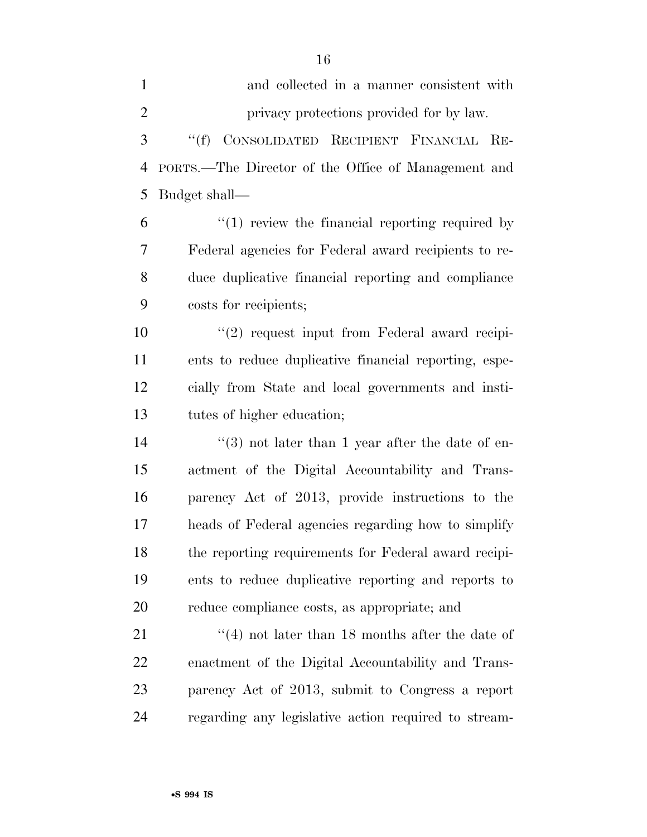| $\mathbf{1}$   | and collected in a manner consistent with              |
|----------------|--------------------------------------------------------|
| $\overline{2}$ | privacy protections provided for by law.               |
| 3              | CONSOLIDATED RECIPIENT FINANCIAL RE-<br>$\lq\lq(f)$    |
| 4              | PORTS.—The Director of the Office of Management and    |
| 5              | Budget shall—                                          |
| 6              | $\lq(1)$ review the financial reporting required by    |
| 7              | Federal agencies for Federal award recipients to re-   |
| 8              | duce duplicative financial reporting and compliance    |
| 9              | costs for recipients;                                  |
| 10             | $"(2)$ request input from Federal award recipi-        |
| 11             | ents to reduce duplicative financial reporting, espe-  |
| 12             | cially from State and local governments and insti-     |
| 13             | tutes of higher education;                             |
| 14             | $(3)$ not later than 1 year after the date of en-      |
| 15             | actment of the Digital Accountability and Trans-       |
| 16             | parency Act of 2013, provide instructions to the       |
| 17             | heads of Federal agencies regarding how to simplify    |
| 18             | the reporting requirements for Federal award recipi-   |
| 19             | ents to reduce duplicative reporting and reports to    |
| 20             | reduce compliance costs, as appropriate; and           |
| 21             | $\cdot$ (4) not later than 18 months after the date of |
| 22             | enactment of the Digital Accountability and Trans-     |
| 23             | parency Act of 2013, submit to Congress a report       |
| 24             | regarding any legislative action required to stream-   |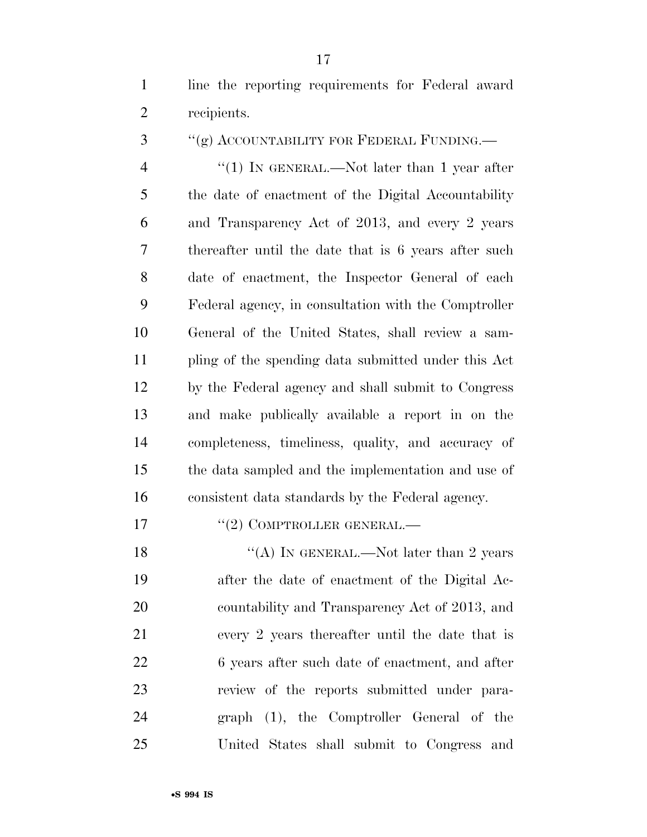line the reporting requirements for Federal award recipients.

3 "(g) ACCOUNTABILITY FOR FEDERAL FUNDING.—

4 "(1) IN GENERAL.—Not later than 1 year after the date of enactment of the Digital Accountability and Transparency Act of 2013, and every 2 years thereafter until the date that is 6 years after such date of enactment, the Inspector General of each Federal agency, in consultation with the Comptroller General of the United States, shall review a sam- pling of the spending data submitted under this Act by the Federal agency and shall submit to Congress and make publically available a report in on the completeness, timeliness, quality, and accuracy of the data sampled and the implementation and use of consistent data standards by the Federal agency.

## 17 <sup>''</sup>(2) COMPTROLLER GENERAL.—

 $\text{``(A)}$  In GENERAL.—Not later than 2 years after the date of enactment of the Digital Ac- countability and Transparency Act of 2013, and every 2 years thereafter until the date that is 22 6 years after such date of enactment, and after review of the reports submitted under para- graph (1), the Comptroller General of the United States shall submit to Congress and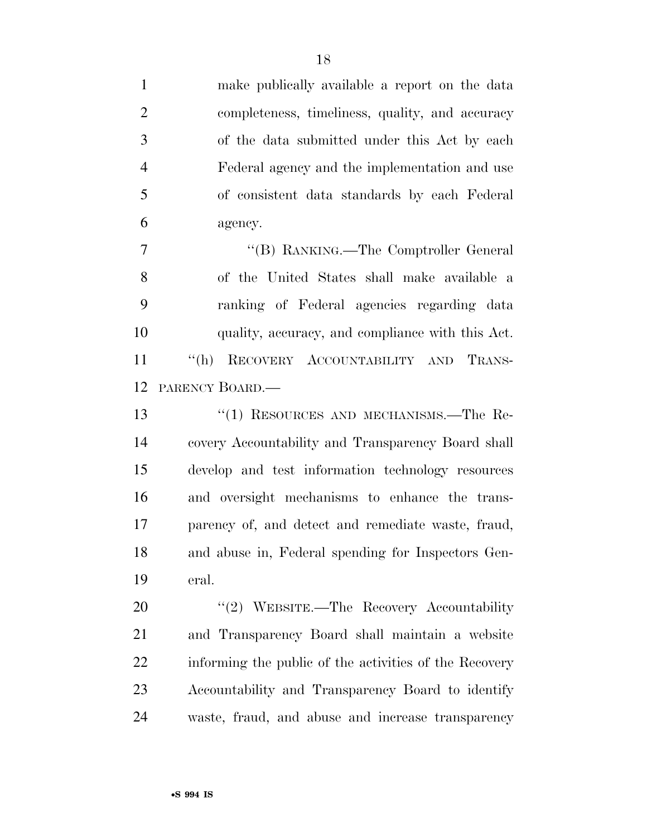make publically available a report on the data completeness, timeliness, quality, and accuracy of the data submitted under this Act by each Federal agency and the implementation and use of consistent data standards by each Federal agency. 7 "'(B) RANKING.—The Comptroller General of the United States shall make available a ranking of Federal agencies regarding data quality, accuracy, and compliance with this Act. ''(h) RECOVERY ACCOUNTABILITY AND TRANS- PARENCY BOARD.— ''(1) RESOURCES AND MECHANISMS.—The Re- covery Accountability and Transparency Board shall develop and test information technology resources and oversight mechanisms to enhance the trans- parency of, and detect and remediate waste, fraud, and abuse in, Federal spending for Inspectors Gen-eral.

20 "(2) WEBSITE.—The Recovery Accountability and Transparency Board shall maintain a website informing the public of the activities of the Recovery Accountability and Transparency Board to identify waste, fraud, and abuse and increase transparency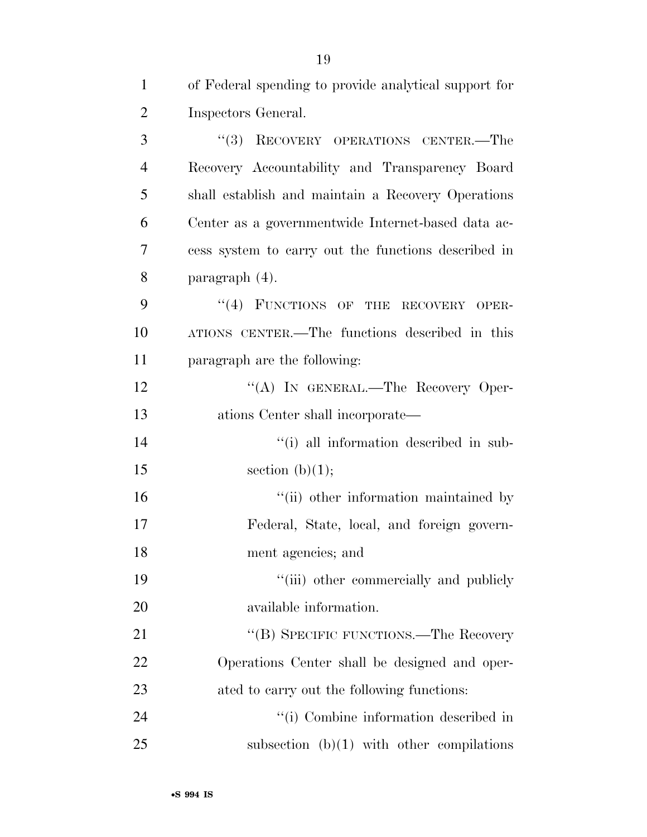| $\mathbf{1}$   | of Federal spending to provide analytical support for |
|----------------|-------------------------------------------------------|
| $\overline{2}$ | Inspectors General.                                   |
| 3              | RECOVERY OPERATIONS CENTER.-The<br>(3)                |
| $\overline{4}$ | Recovery Accountability and Transparency Board        |
| 5              | shall establish and maintain a Recovery Operations    |
| 6              | Center as a governmentwide Internet-based data ac-    |
| 7              | cess system to carry out the functions described in   |
| 8              | paragraph (4).                                        |
| 9              | "(4) FUNCTIONS OF THE RECOVERY OPER-                  |
| 10             | ATIONS CENTER.—The functions described in this        |
| 11             | paragraph are the following:                          |
| 12             | "(A) IN GENERAL.—The Recovery Oper-                   |
| 13             | ations Center shall incorporate—                      |
| 14             | "(i) all information described in sub-                |
| 15             | section $(b)(1);$                                     |
| 16             | "(ii) other information maintained by                 |
| 17             | Federal, State, local, and foreign govern-            |
| 18             | ment agencies; and                                    |
| 19             | "(iii) other commercially and publicly                |
| 20             | available information.                                |
| 21             | "(B) SPECIFIC FUNCTIONS.—The Recovery                 |
| 22             | Operations Center shall be designed and oper-         |
| 23             | ated to carry out the following functions:            |
| 24             | "(i) Combine information described in                 |
| 25             | subsection $(b)(1)$ with other compilations           |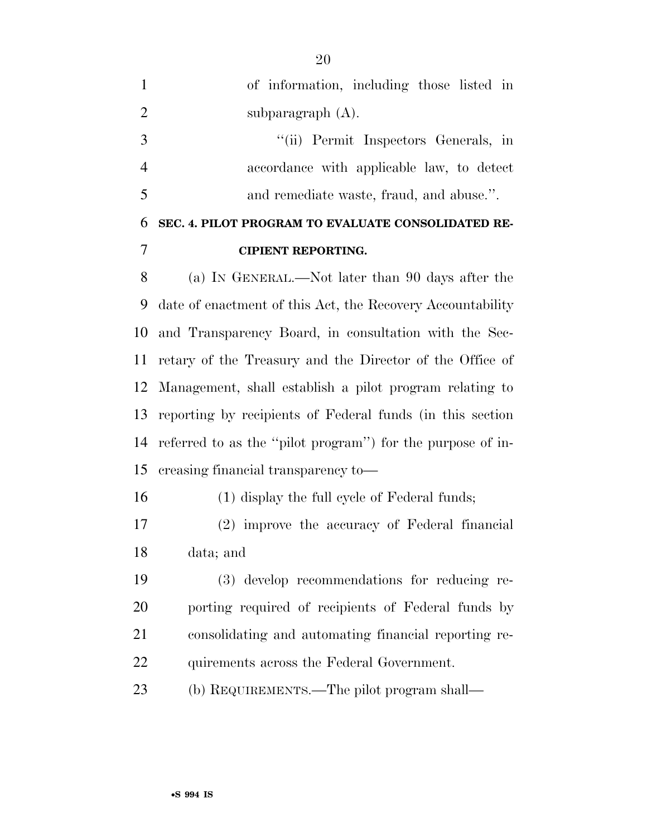of information, including those listed in 2 subparagraph (A). ''(ii) Permit Inspectors Generals, in accordance with applicable law, to detect and remediate waste, fraud, and abuse.''. **SEC. 4. PILOT PROGRAM TO EVALUATE CONSOLIDATED RE-CIPIENT REPORTING.** 

 (a) IN GENERAL.—Not later than 90 days after the date of enactment of this Act, the Recovery Accountability and Transparency Board, in consultation with the Sec- retary of the Treasury and the Director of the Office of Management, shall establish a pilot program relating to reporting by recipients of Federal funds (in this section referred to as the ''pilot program'') for the purpose of in-creasing financial transparency to—

(1) display the full cycle of Federal funds;

 (2) improve the accuracy of Federal financial data; and

 (3) develop recommendations for reducing re- porting required of recipients of Federal funds by consolidating and automating financial reporting re-22 quirements across the Federal Government.

(b) REQUIREMENTS.—The pilot program shall—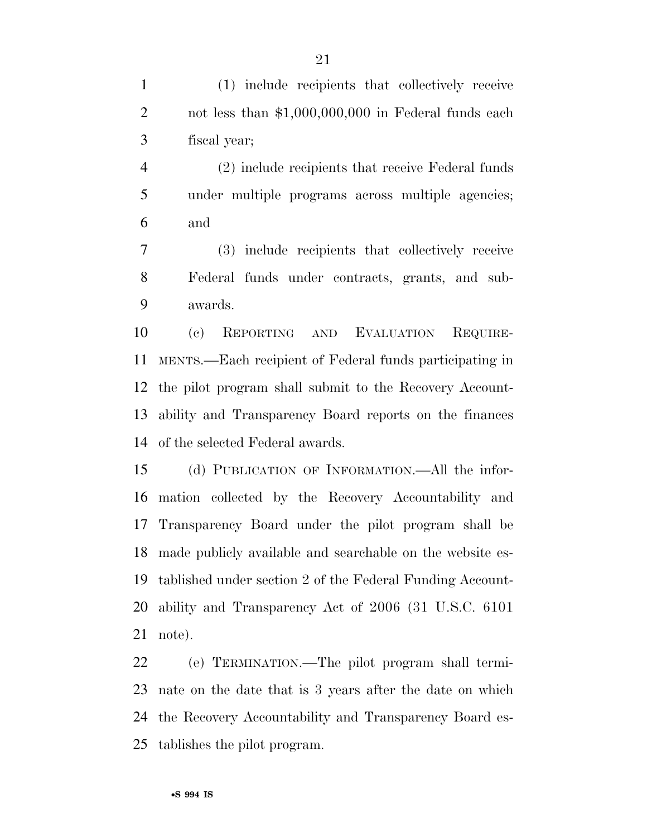(1) include recipients that collectively receive 2 not less than \$1,000,000,000 in Federal funds each fiscal year;

 (2) include recipients that receive Federal funds under multiple programs across multiple agencies; and

 (3) include recipients that collectively receive Federal funds under contracts, grants, and sub-awards.

 (c) REPORTING AND EVALUATION REQUIRE- MENTS.—Each recipient of Federal funds participating in the pilot program shall submit to the Recovery Account- ability and Transparency Board reports on the finances of the selected Federal awards.

 (d) PUBLICATION OF INFORMATION.—All the infor- mation collected by the Recovery Accountability and Transparency Board under the pilot program shall be made publicly available and searchable on the website es- tablished under section 2 of the Federal Funding Account- ability and Transparency Act of 2006 (31 U.S.C. 6101 note).

 (e) TERMINATION.—The pilot program shall termi- nate on the date that is 3 years after the date on which the Recovery Accountability and Transparency Board es-tablishes the pilot program.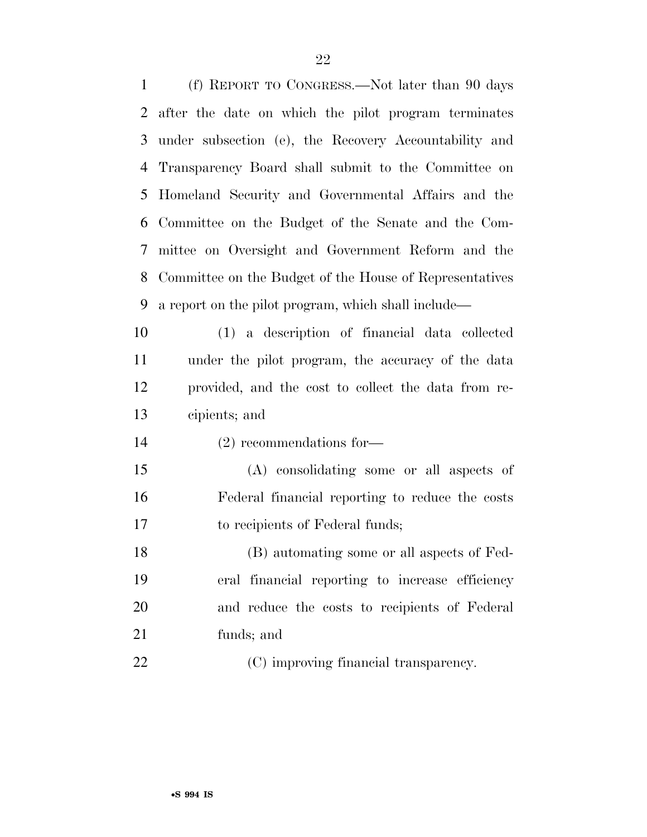(f) REPORT TO CONGRESS.—Not later than 90 days after the date on which the pilot program terminates under subsection (e), the Recovery Accountability and Transparency Board shall submit to the Committee on Homeland Security and Governmental Affairs and the Committee on the Budget of the Senate and the Com- mittee on Oversight and Government Reform and the Committee on the Budget of the House of Representatives a report on the pilot program, which shall include—

 (1) a description of financial data collected under the pilot program, the accuracy of the data provided, and the cost to collect the data from re-cipients; and

(2) recommendations for—

 (A) consolidating some or all aspects of Federal financial reporting to reduce the costs to recipients of Federal funds;

 (B) automating some or all aspects of Fed- eral financial reporting to increase efficiency and reduce the costs to recipients of Federal funds; and

22 (C) improving financial transparency.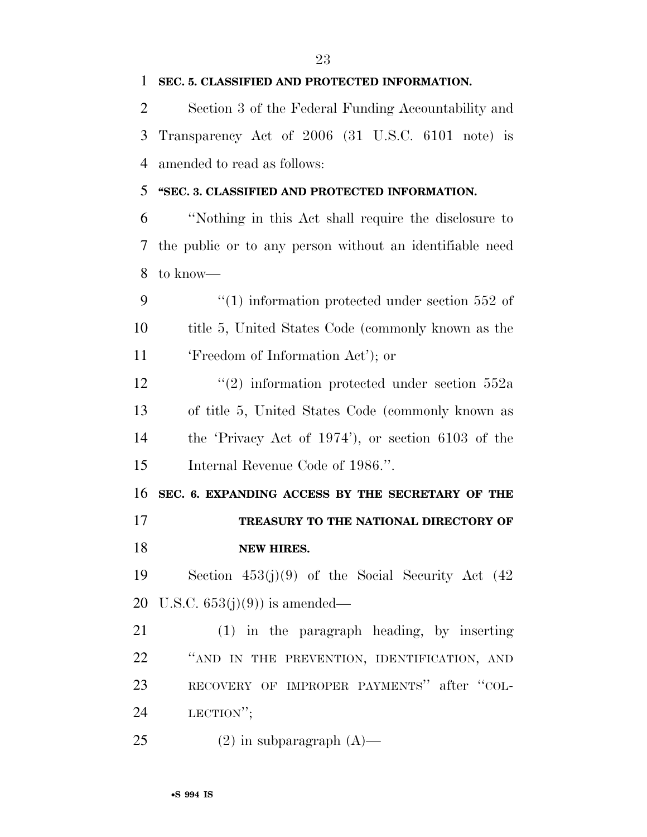| 2      | Section 3 of the Federal Funding Accountability and      |
|--------|----------------------------------------------------------|
| 3      | Transparency Act of 2006 (31 U.S.C. 6101 note) is        |
| 4      | amended to read as follows:                              |
| 5      | "SEC. 3. CLASSIFIED AND PROTECTED INFORMATION.           |
| 6      | "Nothing in this Act shall require the disclosure to     |
| 7      | the public or to any person without an identifiable need |
| 8      | to know—                                                 |
| 9      | $\cdot$ (1) information protected under section 552 of   |
| 10     | title 5, United States Code (commonly known as the       |
| 11     | 'Freedom of Information Act'); or                        |
| 12     | $(2)$ information protected under section 552a           |
| 13     | of title 5, United States Code (commonly known as        |
| 14     | the 'Privacy Act of $1974'$ '), or section 6103 of the   |
| 15     | Internal Revenue Code of 1986.".                         |
| 16     | SEC. 6. EXPANDING ACCESS BY THE SECRETARY OF THE         |
| 17     | TREASURY TO THE NATIONAL DIRECTORY OF                    |
| 18     | <b>NEW HIRES.</b>                                        |
|        | 19 Section $453(j)(9)$ of the Social Security Act $(42)$ |
|        | 20 U.S.C. $653(j)(9)$ is amended—                        |
| 21     | $(1)$ in the paragraph heading, by inserting             |
| $22\,$ | "AND IN THE PREVENTION, IDENTIFICATION, AND              |
| 23     | RECOVERY OF IMPROPER PAYMENTS" after "COL-               |
| 24     | LECTION";                                                |
|        |                                                          |

(2) in subparagraph (A)—

**SEC. 5. CLASSIFIED AND PROTECTED INFORMATION.**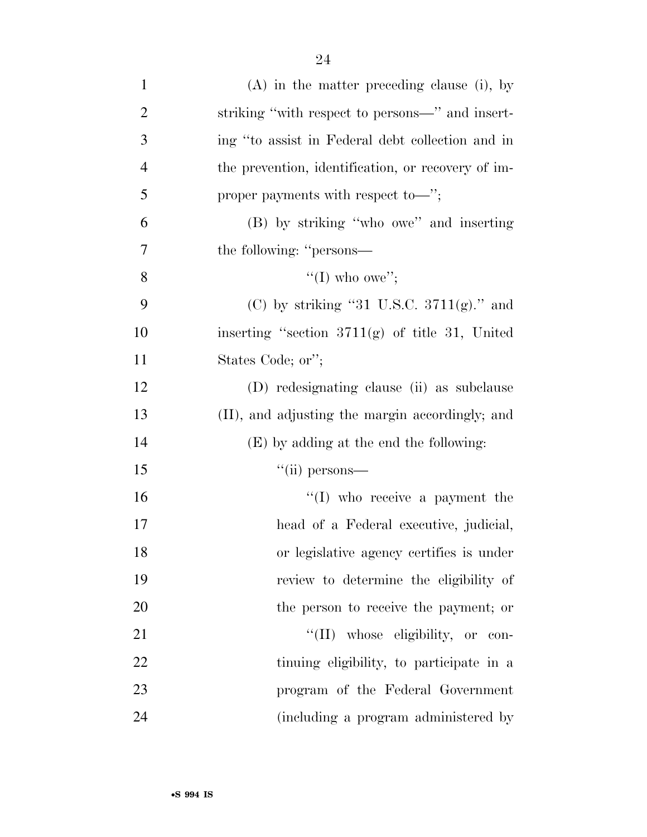| $\mathbf{1}$   | $(A)$ in the matter preceding clause (i), by       |
|----------------|----------------------------------------------------|
| 2              | striking "with respect to persons-" and insert-    |
| 3              | ing "to assist in Federal debt collection and in   |
| $\overline{4}$ | the prevention, identification, or recovery of im- |
| 5              | proper payments with respect to—";                 |
| 6              | (B) by striking "who owe" and inserting            |
| 7              | the following: "persons—                           |
| 8              | "(I) who owe";                                     |
| 9              | (C) by striking "31 U.S.C. $3711(g)$ ." and        |
| 10             | inserting "section $3711(g)$ of title 31, United   |
| 11             | States Code; or";                                  |
| 12             | (D) redesignating clause (ii) as subclause         |
| 13             | (II), and adjusting the margin accordingly; and    |
| 14             | (E) by adding at the end the following:            |
| 15             | $``$ (ii) persons—                                 |
| 16             | $\lq\lq$ (I) who receive a payment the             |
| 17             | head of a Federal executive, judicial,             |
| 18             | or legislative agency certifies is under           |
| 19             | review to determine the eligibility of             |
| 20             | the person to receive the payment; or              |
| 21             | "(II) whose eligibility, or con-                   |
| 22             | tinuing eligibility, to participate in a           |
| 23             | program of the Federal Government                  |
| 24             | (including a program administered by               |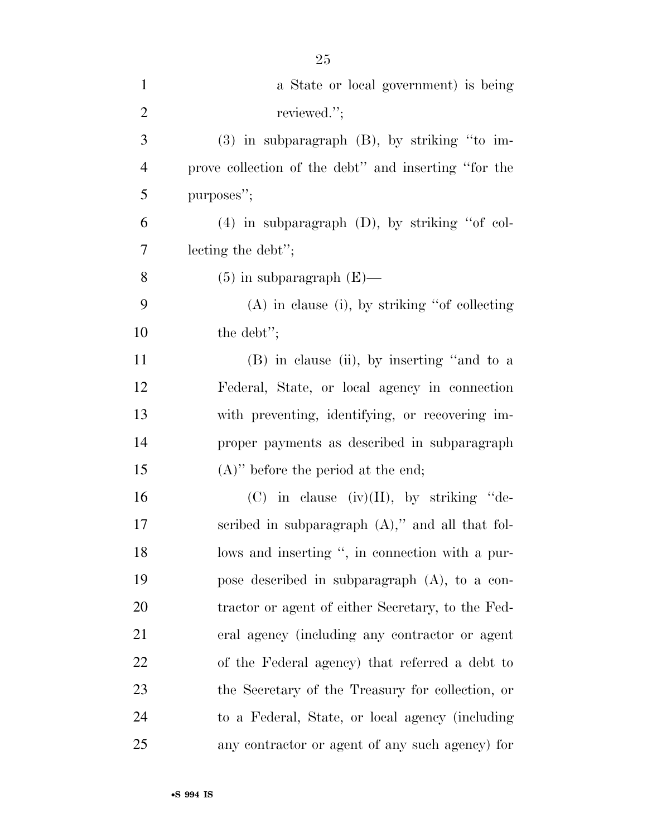| $\mathbf{1}$   | a State or local government) is being                |
|----------------|------------------------------------------------------|
| $\overline{2}$ | reviewed.";                                          |
| 3              | $(3)$ in subparagraph $(B)$ , by striking "to im-    |
| $\overline{4}$ | prove collection of the debt" and inserting "for the |
| 5              | purposes";                                           |
| 6              | $(4)$ in subparagraph $(D)$ , by striking "of col-   |
| 7              | lecting the debt";                                   |
| 8              | $(5)$ in subparagraph $(E)$ —                        |
| 9              | $(A)$ in clause (i), by striking "of collecting      |
| 10             | the debt";                                           |
| 11             | (B) in clause (ii), by inserting "and to a           |
| 12             | Federal, State, or local agency in connection        |
| 13             | with preventing, identifying, or recovering im-      |
| 14             | proper payments as described in subparagraph         |
| 15             | $(A)$ " before the period at the end;                |
| 16             | $(C)$ in clause $(iv)(II)$ , by striking "de-        |
| 17             | scribed in subparagraph $(A)$ ," and all that fol-   |
| 18             | lows and inserting ", in connection with a pur-      |
| 19             | pose described in subparagraph $(A)$ , to a con-     |
| 20             | tractor or agent of either Secretary, to the Fed-    |
| 21             | eral agency (including any contractor or agent       |
| 22             | of the Federal agency) that referred a debt to       |
| 23             | the Secretary of the Treasury for collection, or     |
| 24             | to a Federal, State, or local agency (including      |
| 25             | any contractor or agent of any such agency) for      |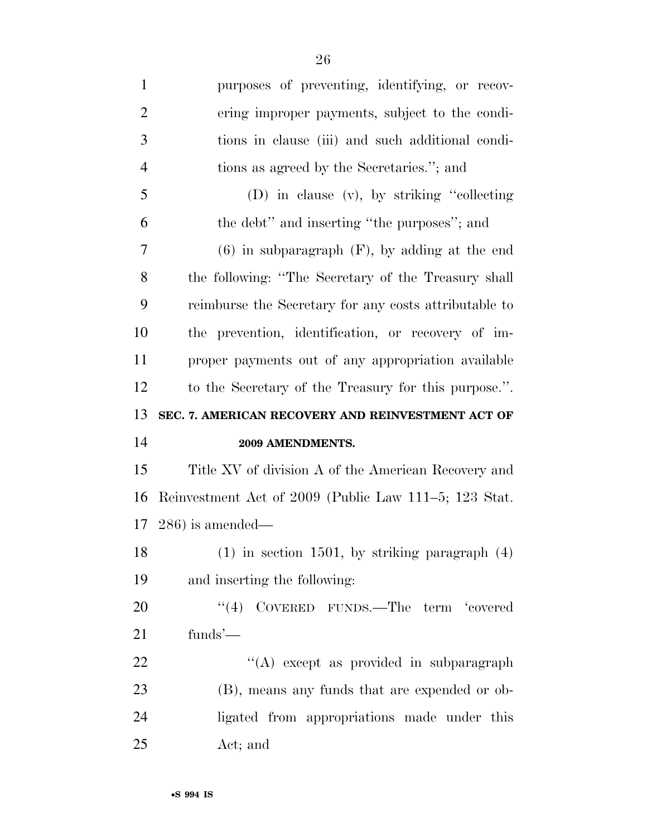purposes of preventing, identifying, or recov- ering improper payments, subject to the condi- tions in clause (iii) and such additional condi- tions as agreed by the Secretaries.''; and (D) in clause (v), by striking ''collecting the debt'' and inserting ''the purposes''; and (6) in subparagraph (F), by adding at the end the following: ''The Secretary of the Treasury shall reimburse the Secretary for any costs attributable to the prevention, identification, or recovery of im- proper payments out of any appropriation available to the Secretary of the Treasury for this purpose.''. **SEC. 7. AMERICAN RECOVERY AND REINVESTMENT ACT OF 2009 AMENDMENTS.**  Title XV of division A of the American Recovery and Reinvestment Act of 2009 (Public Law 111–5; 123 Stat. 286) is amended— (1) in section 1501, by striking paragraph (4) and inserting the following: 20 "(4) COVERED FUNDS.—The term 'covered funds'—  $\langle (A) \rangle$  except as provided in subparagraph (B), means any funds that are expended or ob- ligated from appropriations made under this Act; and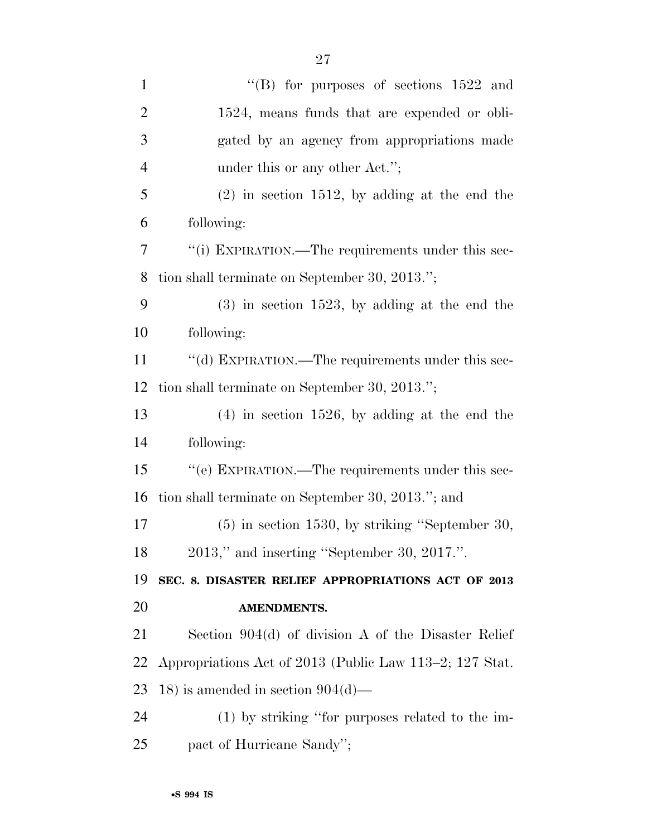| $\mathbf{1}$   | "(B) for purposes of sections $1522$ and                |
|----------------|---------------------------------------------------------|
| $\overline{2}$ | 1524, means funds that are expended or obli-            |
| 3              | gated by an agency from appropriations made             |
| $\overline{4}$ | under this or any other Act.";                          |
| 5              | $(2)$ in section 1512, by adding at the end the         |
| 6              | following:                                              |
| 7              | "(i) EXPIRATION.—The requirements under this sec-       |
| 8              | tion shall terminate on September 30, 2013.";           |
| 9              | $(3)$ in section 1523, by adding at the end the         |
| 10             | following:                                              |
| 11             | "(d) EXPIRATION.—The requirements under this sec-       |
| 12             | tion shall terminate on September 30, 2013.";           |
| 13             | $(4)$ in section 1526, by adding at the end the         |
| 14             | following:                                              |
| 15             | "(e) EXPIRATION.—The requirements under this sec-       |
| 16             | tion shall terminate on September 30, 2013."; and       |
| 17             | $(5)$ in section 1530, by striking "September 30,       |
| 18             | 2013," and inserting "September 30, 2017.".             |
| 19             | SEC. 8. DISASTER RELIEF APPROPRIATIONS ACT OF 2013      |
| 20             | <b>AMENDMENTS.</b>                                      |
| 21             | Section $904(d)$ of division A of the Disaster Relief   |
| 22             | Appropriations Act of 2013 (Public Law 113–2; 127 Stat. |
| 23             | 18) is amended in section $904(d)$ —                    |
| 24             | $(1)$ by striking "for purposes related to the im-      |
| 25             | pact of Hurricane Sandy";                               |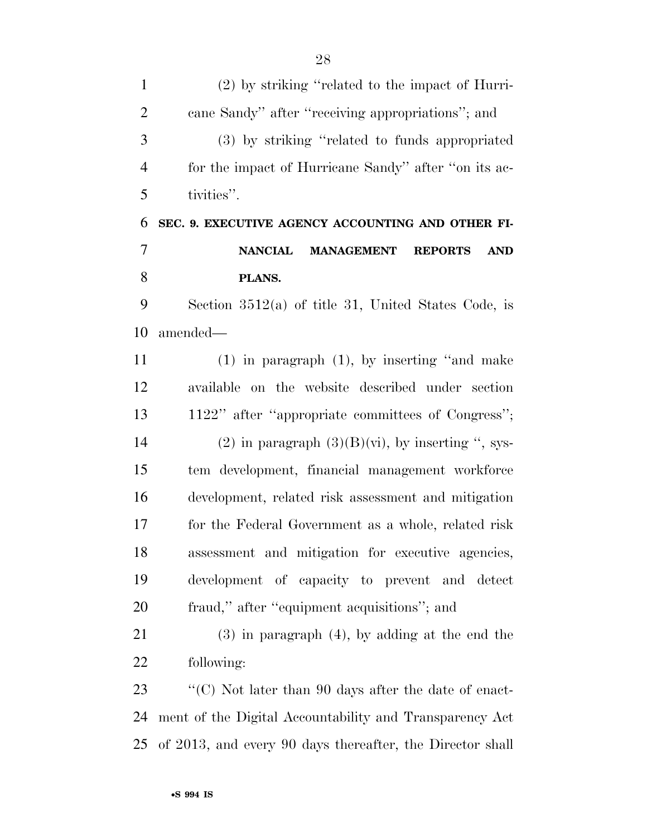(2) by striking ''related to the impact of Hurri- cane Sandy'' after ''receiving appropriations''; and (3) by striking ''related to funds appropriated for the impact of Hurricane Sandy'' after ''on its ac- tivities''. **SEC. 9. EXECUTIVE AGENCY ACCOUNTING AND OTHER FI- NANCIAL MANAGEMENT REPORTS AND PLANS.**  Section 3512(a) of title 31, United States Code, is amended— (1) in paragraph (1), by inserting ''and make available on the website described under section 1122'' after ''appropriate committees of Congress''; 14 (2) in paragraph  $(3)(B)(vi)$ , by inserting ", sys- tem development, financial management workforce development, related risk assessment and mitigation for the Federal Government as a whole, related risk assessment and mitigation for executive agencies, development of capacity to prevent and detect fraud,'' after ''equipment acquisitions''; and (3) in paragraph (4), by adding at the end the following: 23 ''(C) Not later than 90 days after the date of enact-

 ment of the Digital Accountability and Transparency Act of 2013, and every 90 days thereafter, the Director shall